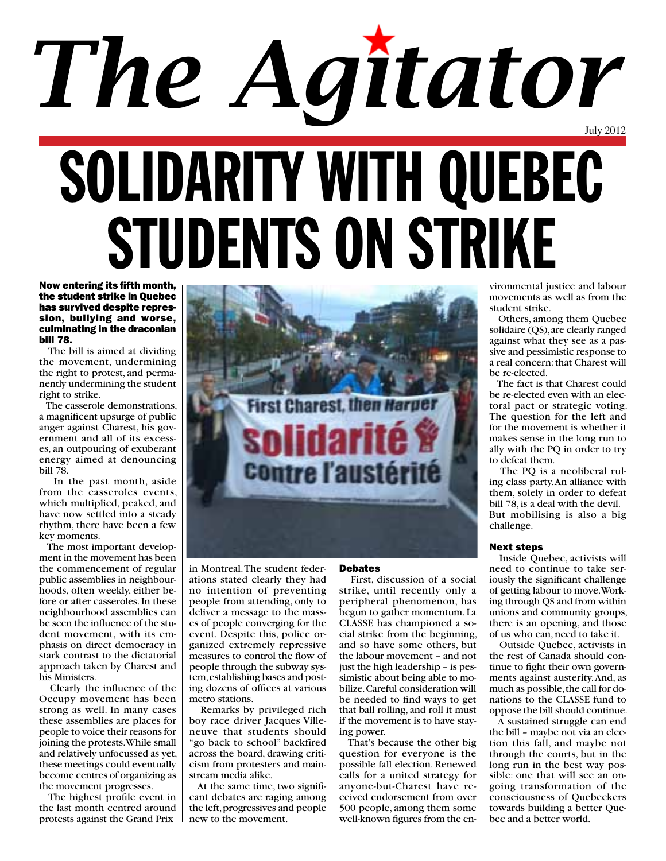# July 2012 solidarity with quebec students ON STRIKE *The Agitator*

Now entering its fifth month, the student strike in Quebec has survived despite repression, bullying and worse, culminating in the draconian bill 78.

 The bill is aimed at dividing the movement, undermining the right to protest, and permanently undermining the student right to strike.

 The casserole demonstrations, a magnificent upsurge of public anger against Charest, his government and all of its excesses, an outpouring of exuberant energy aimed at denouncing bill 78.

 In the past month, aside from the casseroles events, which multiplied, peaked, and have now settled into a steady rhythm, there have been a few key moments.

 The most important development in the movement has been the commencement of regular public assemblies in neighbourhoods, often weekly, either before or after casseroles. In these neighbourhood assemblies can be seen the influence of the student movement, with its emphasis on direct democracy in stark contrast to the dictatorial approach taken by Charest and his Ministers.

 Clearly the influence of the Occupy movement has been strong as well. In many cases these assemblies are places for people to voice their reasons for joining the protests. While small and relatively unfocussed as yet, these meetings could eventually become centres of organizing as the movement progresses.

 The highest profile event in the last month centred around protests against the Grand Prix  $\parallel$  new to the movement.

in Montreal. The student federations stated clearly they had no intention of preventing people from attending, only to deliver a message to the masses of people converging for the event. Despite this, police organized extremely repressive measures to control the flow of people through the subway system, establishing bases and posting dozens of offices at various metro stations.

**First Charest.** 

solidari

**Contre l'auste** 

 Remarks by privileged rich boy race driver Jacques Villeneuve that students should "go back to school" backfired across the board, drawing criticism from protesters and mainstream media alike.

 At the same time, two significant debates are raging among the left, progressives and people

### Debates

Then Hart

 First, discussion of a social strike, until recently only a peripheral phenomenon, has begun to gather momentum. La CLASSE has championed a social strike from the beginning, and so have some others, but the labour movement – and not just the high leadership – is pessimistic about being able to mobilize. Careful consideration will be needed to find ways to get that ball rolling, and roll it must if the movement is to have staying power.

 That's because the other big question for everyone is the possible fall election. Renewed calls for a united strategy for anyone-but-Charest have received endorsement from over 500 people, among them some well-known figures from the en-

vironmental justice and labour movements as well as from the student strike.

 Others, among them Quebec solidaire (QS), are clearly ranged against what they see as a passive and pessimistic response to a real concern: that Charest will be re-elected.

 The fact is that Charest could be re-elected even with an electoral pact or strategic voting. The question for the left and for the movement is whether it makes sense in the long run to ally with the PQ in order to try to defeat them.

 The PQ is a neoliberal ruling class party. An alliance with them, solely in order to defeat bill 78, is a deal with the devil. But mobilising is also a big challenge.

### Next steps

 Inside Quebec, activists will need to continue to take seriously the significant challenge of getting labour to move. Working through QS and from within unions and community groups, there is an opening, and those of us who can, need to take it.

 Outside Quebec, activists in the rest of Canada should continue to fight their own governments against austerity. And, as much as possible, the call for donations to the CLASSE fund to oppose the bill should continue.

 A sustained struggle can end the bill – maybe not via an election this fall, and maybe not through the courts, but in the long run in the best way possible: one that will see an ongoing transformation of the consciousness of Quebeckers towards building a better Quebec and a better world.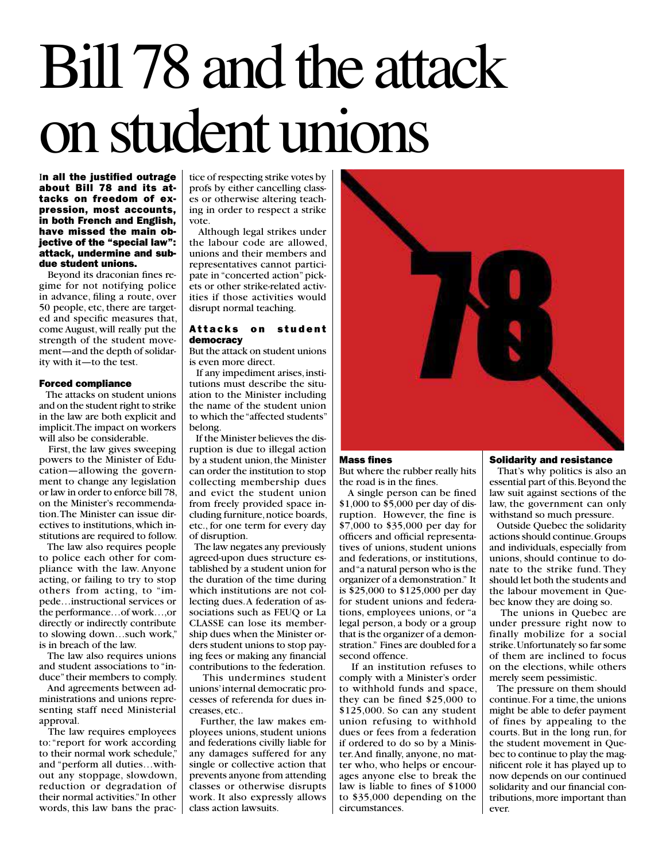# Bill 78 and the attack on student unions

In all the justified outrage about Bill 78 and its attacks on freedom of expression, most accounts, in both French and English, have missed the main objective of the "special law": attack, undermine and subdue student unions.

 Beyond its draconian fines regime for not notifying police in advance, filing a route, over 50 people, etc, there are targeted and specific measures that, come August, will really put the strength of the student movement—and the depth of solidarity with it—to the test.

#### Forced compliance

 The attacks on student unions and on the student right to strike in the law are both explicit and implicit. The impact on workers will also be considerable.

 First, the law gives sweeping powers to the Minister of Education—allowing the government to change any legislation or law in order to enforce bill 78, on the Minister's recommendation. The Minister can issue directives to institutions, which institutions are required to follow.

 The law also requires people to police each other for compliance with the law. Anyone acting, or failing to try to stop others from acting, to "impede…instructional services or the performance…of work…,or directly or indirectly contribute to slowing down…such work," is in breach of the law.

 The law also requires unions and student associations to "induce" their members to comply.

 And agreements between administrations and unions representing staff need Ministerial approval.

 The law requires employees to: "report for work according to their normal work schedule," and "perform all duties…without any stoppage, slowdown, reduction or degradation of their normal activities." In other words, this law bans the practice of respecting strike votes by profs by either cancelling classes or otherwise altering teaching in order to respect a strike vote.

 Although legal strikes under the labour code are allowed, unions and their members and representatives cannot participate in "concerted action" pickets or other strike-related activities if those activities would disrupt normal teaching.

### Attacks on student democracy

But the attack on student unions is even more direct.

 If any impediment arises, institutions must describe the situation to the Minister including the name of the student union to which the "affected students" belong.

 If the Minister believes the disruption is due to illegal action by a student union, the Minister can order the institution to stop collecting membership dues and evict the student union from freely provided space including furniture, notice boards, etc., for one term for every day of disruption.

 The law negates any previously agreed-upon dues structure established by a student union for the duration of the time during which institutions are not collecting dues. A federation of associations such as FEUQ or La CLASSE can lose its membership dues when the Minister orders student unions to stop paying fees or making any financial contributions to the federation.

 This undermines student unions' internal democratic processes of referenda for dues increases, etc..

 Further, the law makes employees unions, student unions and federations civilly liable for any damages suffered for any single or collective action that prevents anyone from attending classes or otherwise disrupts work. It also expressly allows class action lawsuits.



### Mass fines

But where the rubber really hits the road is in the fines.

 A single person can be fined \$1,000 to \$5,000 per day of disruption. However, the fine is \$7,000 to \$35,000 per day for officers and official representatives of unions, student unions and federations, or institutions, and "a natural person who is the organizer of a demonstration." It is \$25,000 to \$125,000 per day for student unions and federations, employees unions, or "a legal person, a body or a group that is the organizer of a demonstration." Fines are doubled for a second offence.

 If an institution refuses to comply with a Minister's order to withhold funds and space, they can be fined \$25,000 to \$125,000. So can any student union refusing to withhold dues or fees from a federation if ordered to do so by a Minister. And finally, anyone, no matter who, who helps or encourages anyone else to break the law is liable to fines of \$1000 to \$35,000 depending on the circumstances.

### Solidarity and resistance

 That's why politics is also an essential part of this. Beyond the law suit against sections of the law, the government can only withstand so much pressure.

 Outside Quebec the solidarity actions should continue. Groups and individuals, especially from unions, should continue to donate to the strike fund. They should let both the students and the labour movement in Quebec know they are doing so.

 The unions in Quebec are under pressure right now to finally mobilize for a social strike. Unfortunately so far some of them are inclined to focus on the elections, while others merely seem pessimistic.

 The pressure on them should continue. For a time, the unions might be able to defer payment of fines by appealing to the courts. But in the long run, for the student movement in Quebec to continue to play the magnificent role it has played up to now depends on our continued solidarity and our financial contributions, more important than ever.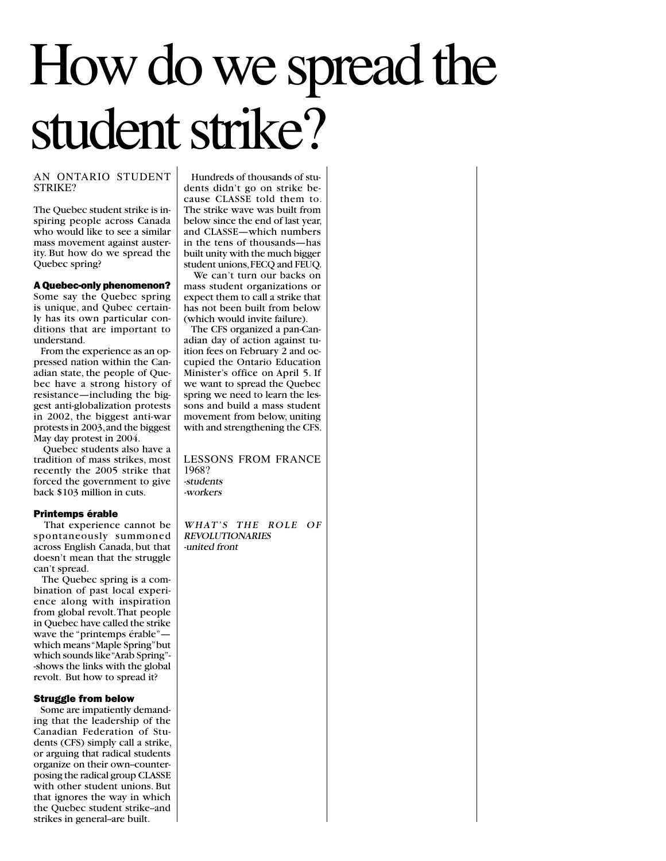## How do we spread the student strike?

### AN ONTARIO STUDENT STRIKE?

The Quebec student strike is inspiring people across Canada who would like to see a similar mass movement against austerity. But how do we spread the Quebec spring?

A Quebec-only phenomenon? Some say the Quebec spring is unique, and Qubec certainly has its own particular conditions that are important to understand.

 From the experience as an oppressed nation within the Canadian state, the people of Quebec have a strong history of resistance—including the biggest anti-globalization protests in 2002, the biggest anti-war protests in 2003, and the biggest May day protest in 2004.

 Quebec students also have a tradition of mass strikes, most recently the 2005 strike that forced the government to give back \$103 million in cuts.

### Printemps érable

 That experience cannot be spontaneously summoned across English Canada, but that doesn't mean that the struggle can't spread.

 The Quebec spring is a combination of past local experience along with inspiration from global revolt. That people in Quebec have called the strike wave the "printemps érable" which means "Maple Spring" but which sounds like "Arab Spring"- -shows the links with the global revolt. But how to spread it?

### Struggle from below

 Some are impatiently demanding that the leadership of the Canadian Federation of Students (CFS) simply call a strike, or arguing that radical students organize on their own--counterposing the radical group CLASSE with other student unions. But that ignores the way in which the Quebec student strike-and strikes in general-are built.

 Hundreds of thousands of students didn't go on strike because CLASSE told them to. The strike wave was built from below since the end of last year, and CLASSE—which numbers in the tens of thousands—has built unity with the much bigger student unions, FECQ and FEUQ.

 We can't turn our backs on mass student organizations or expect them to call a strike that has not been built from below (which would invite failure).

 The CFS organized a pan-Canadian day of action against tuition fees on February 2 and occupied the Ontario Education Minister's office on April 5. If we want to spread the Quebec spring we need to learn the lessons and build a mass student movement from below, uniting with and strengthening the CFS.

LESSONS FROM FRANCE 1968? -students -workers

WHAT'S THE ROLE OF REVOLUTIONARIES -united front